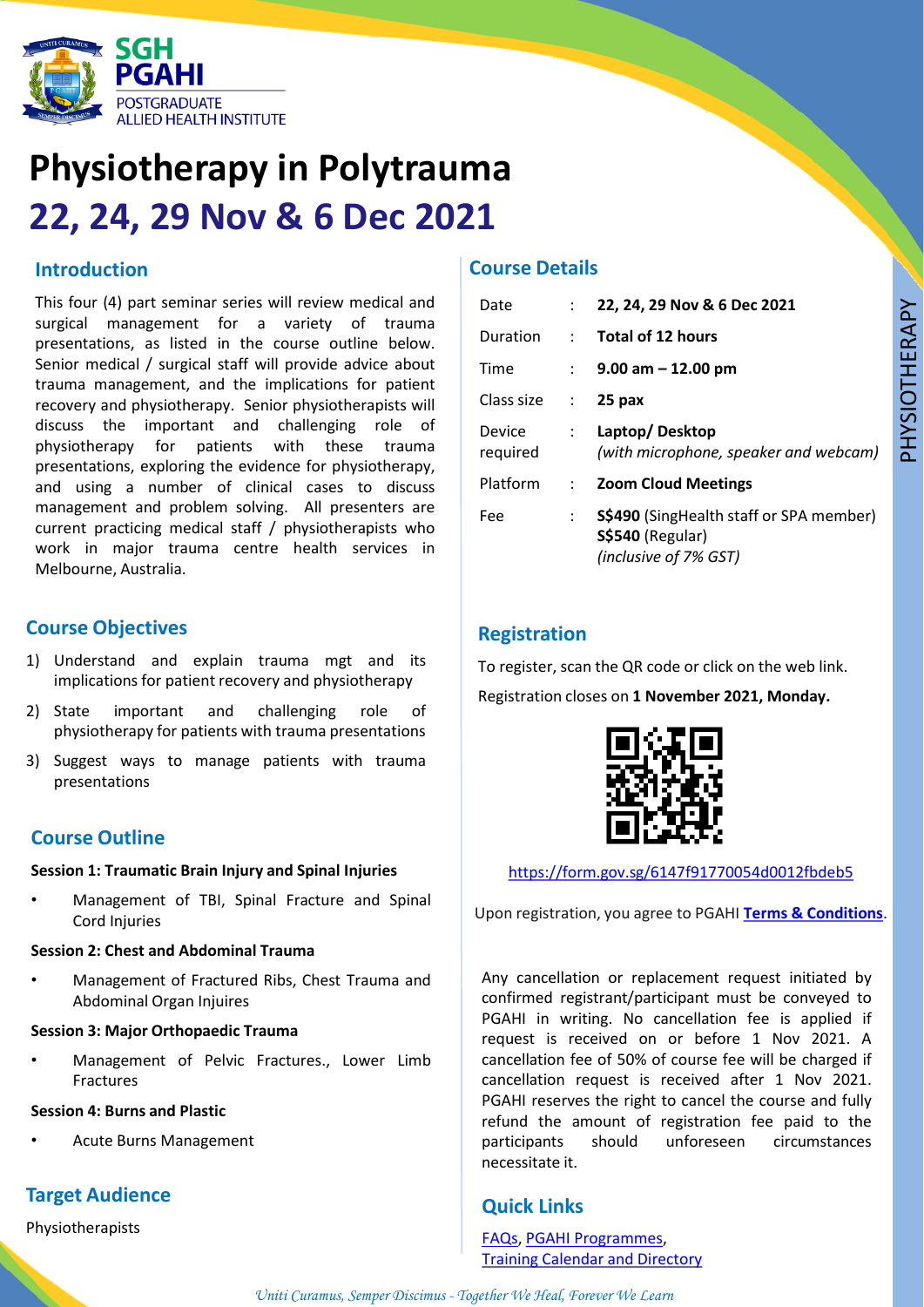

## **Physiotherapy in Polytrauma 22, 24, 29 Nov & 6 Dec 2021**

## **Introduction**

This four (4) part seminar series will review medical and surgical management for a variety of trauma presentations, as listed in the course outline below. Senior medical / surgical staff will provide advice about trauma management, and the implications for patient recovery and physiotherapy. Senior physiotherapists will discuss the important and challenging role of physiotherapy for patients with these trauma presentations, exploring the evidence for physiotherapy, and using a number of clinical cases to discuss management and problem solving. All presenters are current practicing medical staff / physiotherapists who work in major trauma centre health services in Melbourne, Australia.

## **Course Objectives**

- 1) Understand and explain trauma mgt and its implications for patient recovery and physiotherapy
- 2) State important and challenging role of physiotherapy for patients with trauma presentations
- 3) Suggest ways to manage patients with trauma presentations

## **Course Outline**

#### **Session 1: Traumatic Brain Injury and Spinal Injuries**

• Management of TBI, Spinal Fracture and Spinal Cord Injuries

#### **Session 2: Chest and Abdominal Trauma**

• Management of Fractured Ribs, Chest Trauma and Abdominal Organ Injuires

#### **Session 3: Major Orthopaedic Trauma**

• Management of Pelvic Fractures., Lower Limb Fractures

#### **Session 4: Burns and Plastic**

• Acute Burns Management

## **Target Audience**

Physiotherapists

#### **Course Details**

| Date               | $\mathbb{R}^{\mathbb{Z}}$ | 22, 24, 29 Nov & 6 Dec 2021                                                                        |
|--------------------|---------------------------|----------------------------------------------------------------------------------------------------|
| <b>Duration</b>    | $\mathcal{L}$             | <b>Total of 12 hours</b>                                                                           |
| Time               | $\mathbb{R}^{\mathbb{Z}}$ | $9.00$ am $-12.00$ pm                                                                              |
| Class size         | $\sim$                    | 25 pax                                                                                             |
| Device<br>reguired | $\mathcal{L}$             | Laptop/Desktop<br>(with microphone, speaker and webcam)                                            |
| Platform           | $\mathcal{L}$             | <b>Zoom Cloud Meetings</b>                                                                         |
| Fee                | $\ddot{\phantom{a}}$      | <b>S\$490</b> (SingHealth staff or SPA member)<br><b>S\$540 (Regular)</b><br>(inclusive of 7% GST) |

## **Registration**

To register, scan the QR code or click on the web link. Registration closes on **1 November 2021, Monday.**



#### <https://form.gov.sg/6147f91770054d0012fbdeb5>

Upon registration, you agree to PGAHI **[Terms & Conditions](https://www.sgh.com.sg/pgahi/about/Pages/terms-conditions.aspx)**.

Any cancellation or replacement request initiated by confirmed registrant/participant must be conveyed to PGAHI in writing. No cancellation fee is applied if request is received on or before 1 Nov 2021. A cancellation fee of 50% of course fee will be charged if cancellation request is received after 1 Nov 2021. PGAHI reserves the right to cancel the course and fully refund the amount of registration fee paid to the participants should unforeseen circumstances necessitate it.

## **Quick Links**

[FAQs,](https://www.sgh.com.sg/pgahi/programmes/Pages/FAQs.aspx) PGAHI [Programmes](https://www.sgh.com.sg/pgahi/programmes/Pages/programmeoverview.aspx), Training Calendar and [Directory](https://www.sgh.com.sg/pgahi/training-calendar-directory)